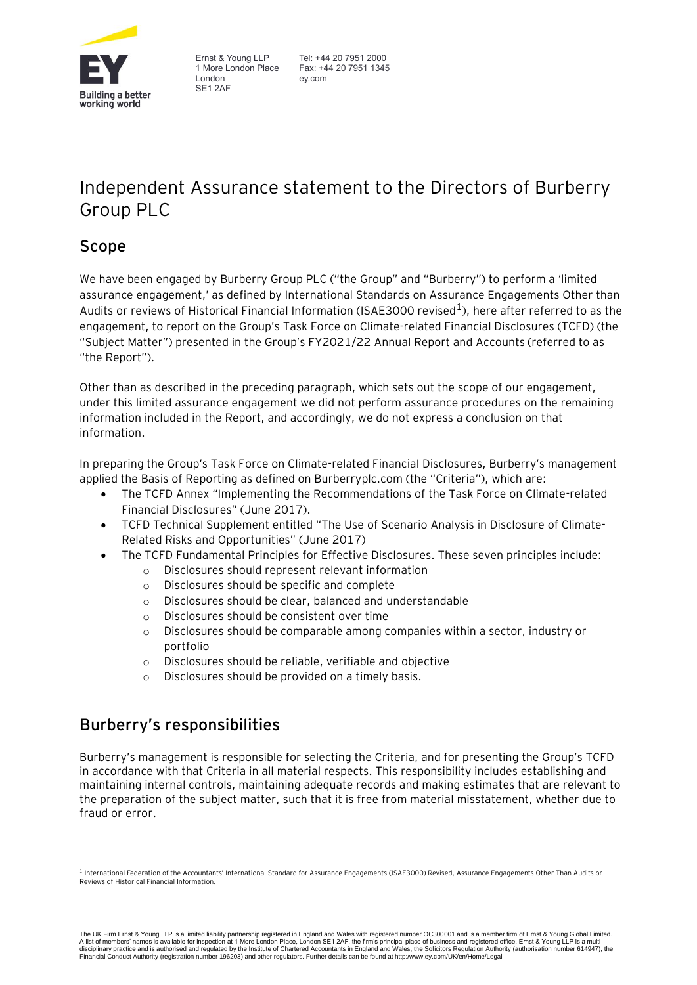

Ernst & Young LLP 1 More London Place London SE1 2AF

Tel: +44 20 7951 2000 Fax: +44 20 7951 1345 ey.com

# Independent Assurance statement to the Directors of Burberry Group PLC

# **Scope**

We have been engaged by Burberry Group PLC ("the Group" and "Burberry") to perform a 'limited assurance engagement,' as defined by International Standards on Assurance Engagements Other than Audits or reviews of Historical Financial Information (ISAE3000 revised $^1$ ), here after referred to as the engagement, to report on the Group's Task Force on Climate-related Financial Disclosures (TCFD) (the "Subject Matter") presented in the Group's FY2021/22 Annual Report and Accounts (referred to as "the Report").

Other than as described in the preceding paragraph, which sets out the scope of our engagement, under this limited assurance engagement we did not perform assurance procedures on the remaining information included in the Report, and accordingly, we do not express a conclusion on that information.

In preparing the Group's Task Force on Climate-related Financial Disclosures, Burberry's management applied the Basis of Reporting as defined on Burberryplc.com (the "Criteria"), which are:

- The TCFD Annex "Implementing the Recommendations of the Task Force on Climate-related Financial Disclosures" (June 2017).
- TCFD Technical Supplement entitled "The Use of Scenario Analysis in Disclosure of Climate-Related Risks and Opportunities" (June 2017)
- The TCFD Fundamental Principles for Effective Disclosures. These seven principles include:
	- o Disclosures should represent relevant information
	- o Disclosures should be specific and complete
	- o Disclosures should be clear, balanced and understandable
	- o Disclosures should be consistent over time
	- o Disclosures should be comparable among companies within a sector, industry or portfolio
	- o Disclosures should be reliable, verifiable and objective
	- o Disclosures should be provided on a timely basis.

# **Burberry's responsibilities**

Burberry's management is responsible for selecting the Criteria, and for presenting the Group's TCFD in accordance with that Criteria in all material respects. This responsibility includes establishing and maintaining internal controls, maintaining adequate records and making estimates that are relevant to the preparation of the subject matter, such that it is free from material misstatement, whether due to fraud or error.

<sup>1</sup> International Federation of the Accountants' International Standard for Assurance Engagements (ISAE3000) Revised, Assurance Engagements Other Than Audits or Reviews of Historical Financial Information.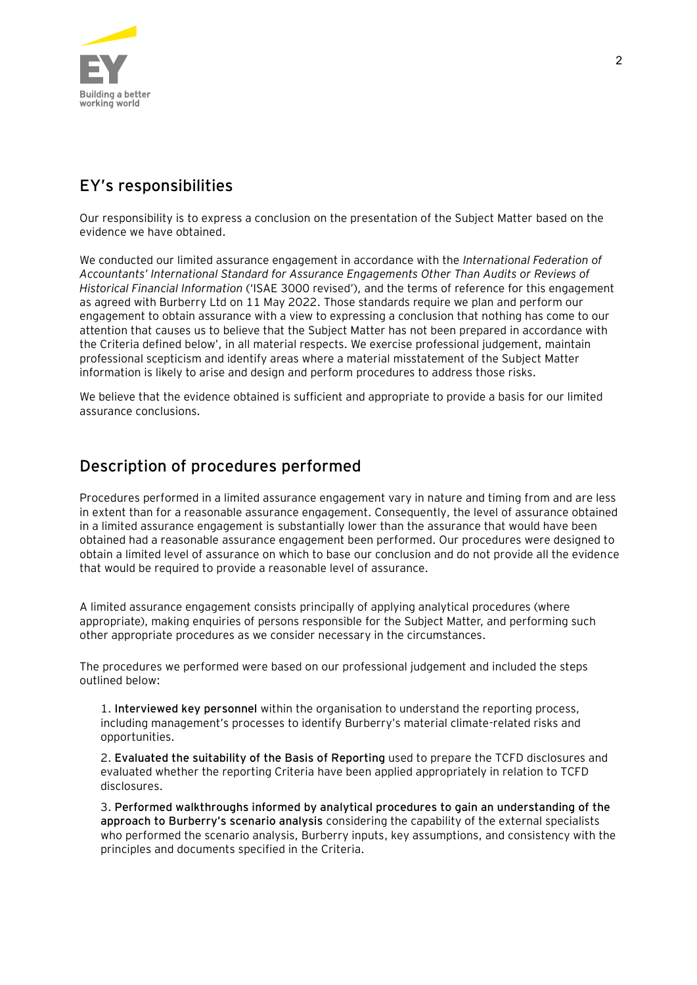

# **EY's responsibilities**

Our responsibility is to express a conclusion on the presentation of the Subject Matter based on the evidence we have obtained.

We conducted our limited assurance engagement in accordance with the *International Federation of Accountants' International Standard for Assurance Engagements Other Than Audits or Reviews of Historical Financial Information* ('ISAE 3000 revised'), and the terms of reference for this engagement as agreed with Burberry Ltd on 11 May 2022. Those standards require we plan and perform our engagement to obtain assurance with a view to expressing a conclusion that nothing has come to our attention that causes us to believe that the Subject Matter has not been prepared in accordance with the Criteria defined below', in all material respects. We exercise professional judgement, maintain professional scepticism and identify areas where a material misstatement of the Subject Matter information is likely to arise and design and perform procedures to address those risks.

We believe that the evidence obtained is sufficient and appropriate to provide a basis for our limited assurance conclusions.

### **Description of procedures performed**

Procedures performed in a limited assurance engagement vary in nature and timing from and are less in extent than for a reasonable assurance engagement. Consequently, the level of assurance obtained in a limited assurance engagement is substantially lower than the assurance that would have been obtained had a reasonable assurance engagement been performed. Our procedures were designed to obtain a limited level of assurance on which to base our conclusion and do not provide all the evidence that would be required to provide a reasonable level of assurance.

A limited assurance engagement consists principally of applying analytical procedures (where appropriate), making enquiries of persons responsible for the Subject Matter, and performing such other appropriate procedures as we consider necessary in the circumstances.

The procedures we performed were based on our professional judgement and included the steps outlined below:

1. **Interviewed key personnel** within the organisation to understand the reporting process, including management's processes to identify Burberry's material climate-related risks and opportunities.

2. **Evaluated the suitability of the Basis of Reporting** used to prepare the TCFD disclosures and evaluated whether the reporting Criteria have been applied appropriately in relation to TCFD disclosures.

3. **Performed walkthroughs informed by analytical procedures to gain an understanding of the approach to Burberry's scenario analysis** considering the capability of the external specialists who performed the scenario analysis, Burberry inputs, key assumptions, and consistency with the principles and documents specified in the Criteria.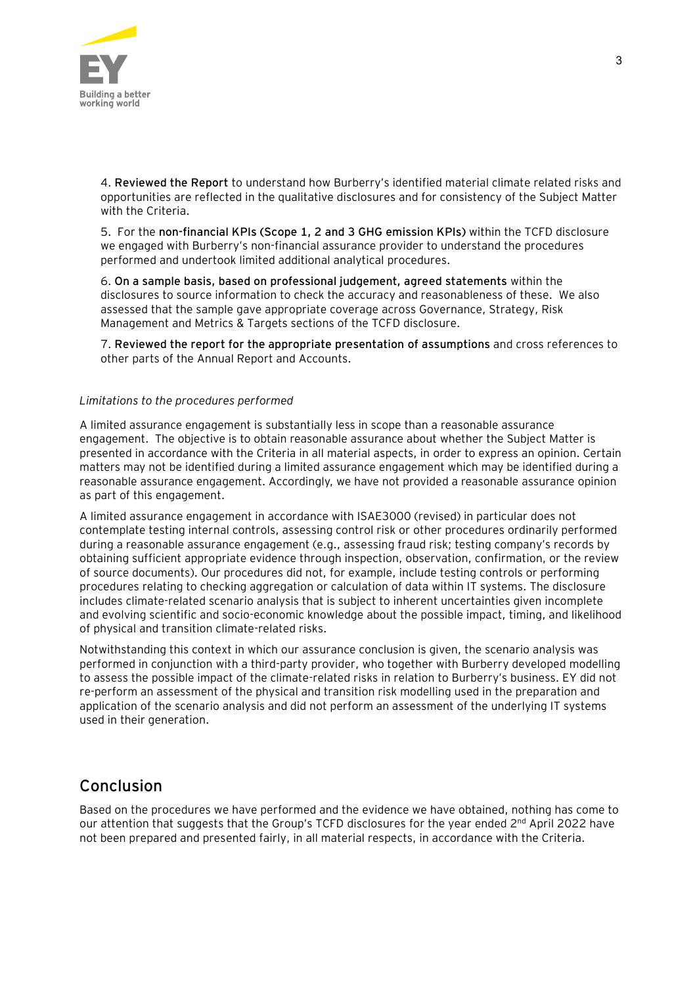

4. **Reviewed the Report** to understand how Burberry's identified material climate related risks and opportunities are reflected in the qualitative disclosures and for consistency of the Subject Matter with the Criteria.

5. For the **non-financial KPIs (Scope 1, 2 and 3 GHG emission KPIs)** within the TCFD disclosure we engaged with Burberry's non-financial assurance provider to understand the procedures performed and undertook limited additional analytical procedures.

6. **On a sample basis, based on professional judgement, agreed statements** within the disclosures to source information to check the accuracy and reasonableness of these. We also assessed that the sample gave appropriate coverage across Governance, Strategy, Risk Management and Metrics & Targets sections of the TCFD disclosure.

7. **Reviewed the report for the appropriate presentation of assumptions** and cross references to other parts of the Annual Report and Accounts.

#### *Limitations to the procedures performed*

A limited assurance engagement is substantially less in scope than a reasonable assurance engagement. The objective is to obtain reasonable assurance about whether the Subject Matter is presented in accordance with the Criteria in all material aspects, in order to express an opinion. Certain matters may not be identified during a limited assurance engagement which may be identified during a reasonable assurance engagement. Accordingly, we have not provided a reasonable assurance opinion as part of this engagement.

A limited assurance engagement in accordance with ISAE3000 (revised) in particular does not contemplate testing internal controls, assessing control risk or other procedures ordinarily performed during a reasonable assurance engagement (e.g., assessing fraud risk; testing company's records by obtaining sufficient appropriate evidence through inspection, observation, confirmation, or the review of source documents). Our procedures did not, for example, include testing controls or performing procedures relating to checking aggregation or calculation of data within IT systems. The disclosure includes climate-related scenario analysis that is subject to inherent uncertainties given incomplete and evolving scientific and socio-economic knowledge about the possible impact, timing, and likelihood of physical and transition climate-related risks.

Notwithstanding this context in which our assurance conclusion is given, the scenario analysis was performed in conjunction with a third-party provider, who together with Burberry developed modelling to assess the possible impact of the climate-related risks in relation to Burberry's business. EY did not re-perform an assessment of the physical and transition risk modelling used in the preparation and application of the scenario analysis and did not perform an assessment of the underlying IT systems used in their generation.

#### **Conclusion**

Based on the procedures we have performed and the evidence we have obtained, nothing has come to our attention that suggests that the Group's TCFD disclosures for the year ended 2<sup>nd</sup> April 2022 have not been prepared and presented fairly, in all material respects, in accordance with the Criteria.